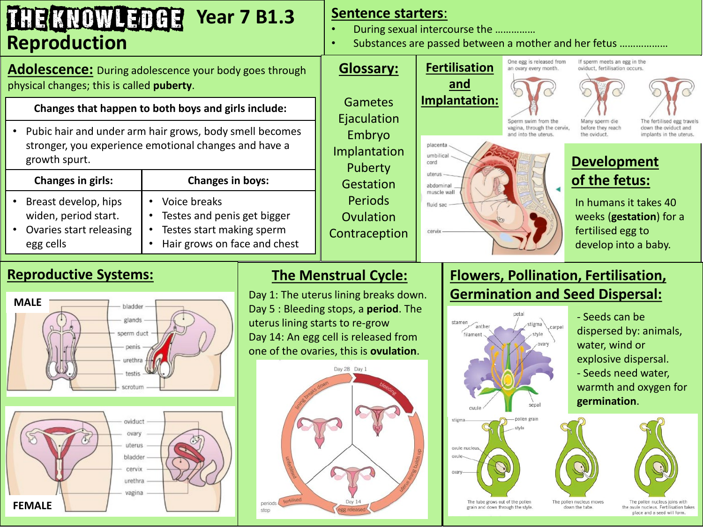## THE KNOWLEDGE **Year 7 B1.3 Reproduction**

**Adolescence:** During adolescence your body goes through physical changes; this is called **puberty**.

## **Changes that happen to both boys and girls include:**

• Pubic hair and under arm hair grows, body smell becomes stronger, you experience emotional changes and have a growth spurt.

|                        | <b>Changes in girls:</b>                                                             | <b>Changes in boys:</b>                                                                                        |
|------------------------|--------------------------------------------------------------------------------------|----------------------------------------------------------------------------------------------------------------|
| $\bullet$<br>$\bullet$ | Breast develop, hips<br>widen, period start.<br>Ovaries start releasing<br>egg cells | • Voice breaks<br>• Testes and penis get bigger<br>• Testes start making sperm<br>Hair grows on face and chest |

## **Sentence starters**:

- During sexual intercourse the ……………
- Substances are passed between a mother and her fetus ..................



If sperm meets an egg in the oviduct, fertilisation occurs.





Many sperm die before they reach the oviduct

down the oviduct and implants in the uterus.

## **Development of the fetus:**

In humans it takes 40 weeks (**gestation**) for a fertilised egg to develop into a baby.

# **Reproductive Systems:**



# **The Menstrual Cycle:**

Day 1: The uterus lining breaks down. Day 5 : Bleeding stops, a **period**. The uterus lining starts to re-grow Day 14: An egg cell is released from one of the ovaries, this is **ovulation**.



# **Flowers, Pollination, Fertilisation, Germination and Seed Dispersal:**



- Seeds can be dispersed by: animals, water, wind or explosive dispersal. - Seeds need water, warmth and oxygen for **germination**.



The pollen nucleus moves down the tube.

The pollen nucleus joins with the ovule nucleus. Fertilisation takes place and a seed will form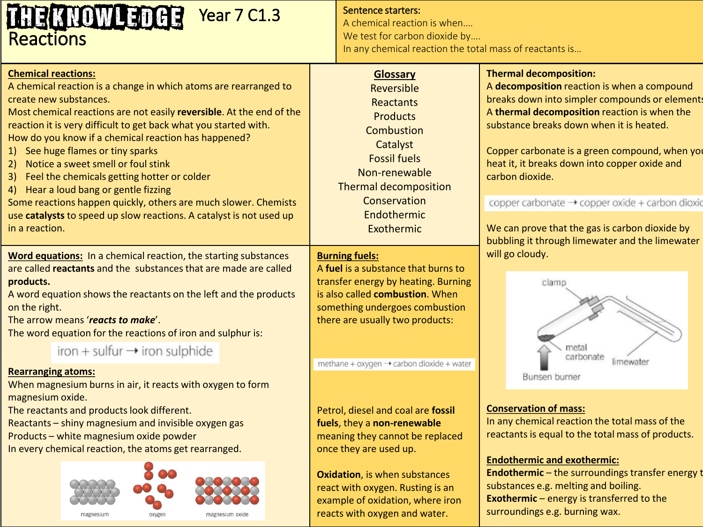## **THE KNOWLET Year 7 C1.3 Reactions**

#### **Chemical reactions:**

A chemical reaction is a change in which atoms are rearranged to create new substances.

Most chemical reactions are not easily **reversible**. At the end of the reaction it is very difficult to get back what you started with. How do you know if a chemical reaction has happened?

- 1) See huge flames or tiny sparks
- 2) Notice a sweet smell or foul stink
- 3) Feel the chemicals getting hotter or colder
- 4) Hear a loud bang or gentle fizzing

Some reactions happen quickly, others are much slower. Chemists use **catalysts** to speed up slow reactions. A catalyst is not used up in a reaction.

**Word equations:** In a chemical reaction, the starting substances are called **reactants** and the substances that are made are called **products.** 

A word equation shows the reactants on the left and the products on the right.

The arrow means '*reacts to make*'.

The word equation for the reactions of iron and sulphur is:

iron + sulfur  $\rightarrow$  iron sulphide

#### **Rearranging atoms:**

When magnesium burns in air, it reacts with oxygen to form magnesium oxide.

The reactants and products look different.

Reactants – shiny magnesium and invisible oxygen gas Products – white magnesium oxide powder

In every chemical reaction, the atoms get rearranged.



#### Sentence starters:

A chemical reaction is when…. We test for carbon dioxide by.... In any chemical reaction the total mass of reactants is…

#### **Glossary**

Reversible Reactants **Products Combustion Catalyst** Fossil fuels Non-renewable Thermal decomposition Conservation Endothermic Exothermic

#### **Burning fuels:**

A **fuel** is a substance that burns to transfer energy by heating. Burning is also called **combustion**. When something undergoes combustion there are usually two products:

methane + oxygen → carbon dioxide + water

Petrol, diesel and coal are **fossil fuels**, they a **non-renewable**  meaning they cannot be replaced once they are used up.

**Oxidation**, is when substances react with oxygen. Rusting is an example of oxidation, where iron reacts with oxygen and water.

#### **Thermal decomposition:**

A **decomposition** reaction is when a compound breaks down into simpler compounds or elements A **thermal decomposition** reaction is when the substance breaks down when it is heated.

Copper carbonate is a green compound, when you heat it, it breaks down into copper oxide and carbon dioxide.

copper carbonate → copper oxide + carbon dioxid

We can prove that the gas is carbon dioxide by bubbling it through limewater and the limewater will go cloudy.



#### **Conservation of mass:**

In any chemical reaction the total mass of the reactants is equal to the total mass of products.

#### **Endothermic and exothermic:**

**Endothermic** – the surroundings transfer energy t substances e.g. melting and boiling. **Exothermic** – energy is transferred to the surroundings e.g. burning wax.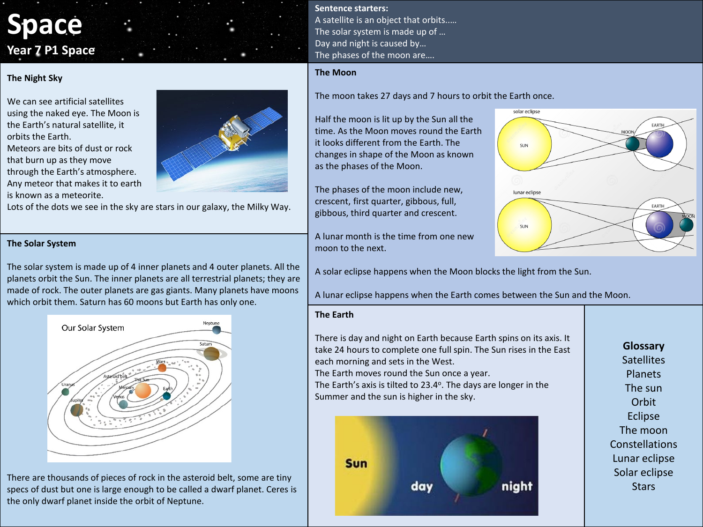# **Space Year 7 P1 Space**

#### **The Night Sky**

We can see artificial satellites using the naked eye. The Moon is the Earth's natural satellite, it orbits the Earth. Meteors are bits of dust or rock that burn up as they move through the Earth's atmosphere. Any meteor that makes it to earth is known as a meteorite.



Lots of the dots we see in the sky are stars in our galaxy, the Milky Way.

#### **The Solar System**

The solar system is made up of 4 inner planets and 4 outer planets. All the planets orbit the Sun. The inner planets are all terrestrial planets; they are made of rock. The outer planets are gas giants. Many planets have moons which orbit them. Saturn has 60 moons but Earth has only one.



There are thousands of pieces of rock in the asteroid belt, some are tiny specs of dust but one is large enough to be called a dwarf planet. Ceres is the only dwarf planet inside the orbit of Neptune.

**Sentence starters:** A satellite is an object that orbits..… The solar system is made up of … Day and night is caused by… The phases of the moon are….

Half the moon is lit up by the Sun all the

it looks different from the Earth. The changes in shape of the Moon as known

The phases of the moon include new, crescent, first quarter, gibbous, full, gibbous, third quarter and crescent.

A lunar month is the time from one new

as the phases of the Moon.

#### **The Moon**



A solar eclipse happens when the Moon blocks the light from the Sun.

A lunar eclipse happens when the Earth comes between the Sun and the Moon.

#### **The Earth**

moon to the next.

There is day and night on Earth because Earth spins on its axis. It take 24 hours to complete one full spin. The Sun rises in the East each morning and sets in the West. The Earth moves round the Sun once a year.

The Earth's axis is tilted to 23.4°. The days are longer in the Summer and the sun is higher in the sky.



### **Glossary Satellites** Planets The sun **Orbit** Eclipse The moon **Constellations** Lunar eclipse Solar eclipse **Stars**